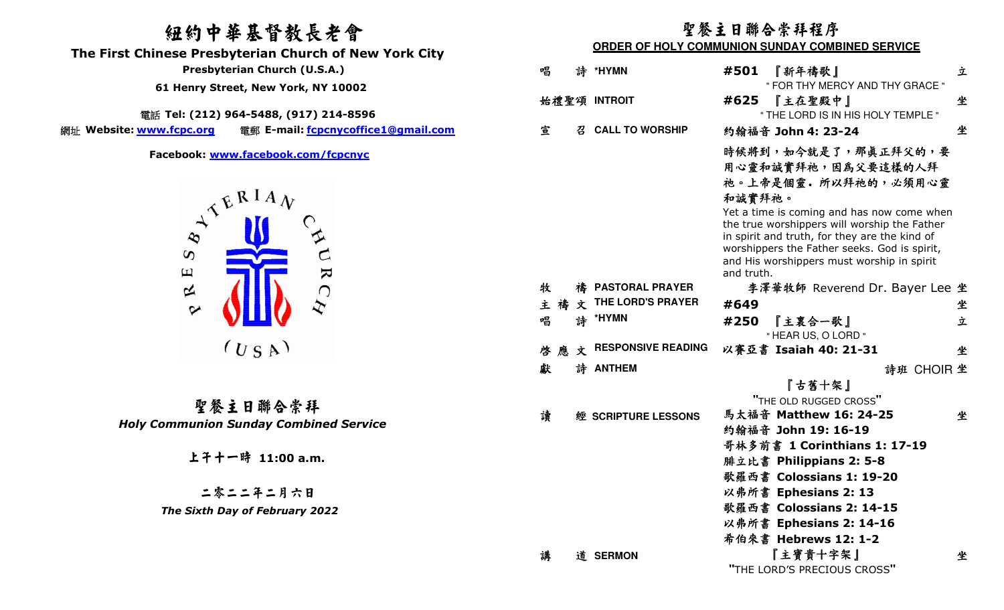# 紐約中華基督教長老會

 **The First Chinese Presbyterian Church of New York City** 

電話 **Tel: (212) 964-5488, (917) 214-8596** 

網址 Website: www.fcpc.org **Website: www.fcpc.org** 電郵 **E-mail: fcpcnycoffice1@gmail.com**



聖餐主日聯合崇拜 *Holy Communion Sunday Combined Service* 

## 聖餐主日聯合崇拜程序

## **ORDER OF HOLY COMMUNION SUNDAY COMBINED SERVICE**

| Presbyterian Church (U.S.A.)             |                                                                                                         | 唱  | 詩   | *HYMN                     | #501       | 『新年禱歌』                                                                                                                                                                                                                                                                                                        | 立          |
|------------------------------------------|---------------------------------------------------------------------------------------------------------|----|-----|---------------------------|------------|---------------------------------------------------------------------------------------------------------------------------------------------------------------------------------------------------------------------------------------------------------------------------------------------------------------|------------|
| 61 Henry Street, New York, NY 10002      |                                                                                                         |    |     |                           |            | " FOR THY MERCY AND THY GRACE "                                                                                                                                                                                                                                                                               |            |
|                                          |                                                                                                         |    |     | 始禮聖頌 INTROIT              | #625       | 『主在聖殿中』                                                                                                                                                                                                                                                                                                       | 坐          |
|                                          | 話 Tel: (212) 964-5488, (917) 214-8596                                                                   |    |     |                           |            | " THE LORD IS IN HIS HOLY TEMPLE "                                                                                                                                                                                                                                                                            |            |
| ww.fcpc.org                              | 電郵 E-mail: fcpcnycoffice1@gmail.com                                                                     | 宣  | 召   | <b>CALL TO WORSHIP</b>    |            | 約翰福音 John 4: 23-24                                                                                                                                                                                                                                                                                            | 坐          |
| $\infty$                                 | Facebook: www.facebook.com/fcpcnyc<br>$A^{\mathcal{L}^{\mathcal{L}^{\mathcal{R}}} \mathcal{M}}}$<br>URC |    |     |                           | 和誠實拜祂。     | 時候將到,如今就是了,那真正拜父的,要<br>用心靈和誠實拜祂,因為父要這樣的人拜<br>祂。上帝是個靈。所以拜祂的,必須用心靈<br>Yet a time is coming and has now come when<br>the true worshippers will worship the Father<br>in spirit and truth, for they are the kind of<br>worshippers the Father seeks. God is spirit,<br>and His worshippers must worship in spirit |            |
| $\Xi$                                    |                                                                                                         |    |     |                           | and truth. |                                                                                                                                                                                                                                                                                                               |            |
| $\approx$                                |                                                                                                         | 牧  |     | 禱 PASTORAL PRAYER         |            | 李澤華牧師 Reverend Dr. Bayer Lee 坐                                                                                                                                                                                                                                                                                |            |
| $\sim$                                   |                                                                                                         | 主禧 |     | 文 THE LORD'S PRAYER       | #649       |                                                                                                                                                                                                                                                                                                               | 坐          |
|                                          |                                                                                                         | 唱  |     | 詩 *HYMN                   | #250       | 『主裏合一歌』<br>" HEAR US, O LORD "                                                                                                                                                                                                                                                                                | 立          |
|                                          | $(U_S A)$                                                                                               |    | 啓應文 | <b>RESPONSIVE READING</b> |            | 以賽亞書 Isaiah 40: 21-31                                                                                                                                                                                                                                                                                         | 坐          |
|                                          |                                                                                                         | 獻  |     | 詩 ANTHEM                  |            |                                                                                                                                                                                                                                                                                                               | 詩班 CHOIR 坐 |
|                                          |                                                                                                         |    |     |                           |            | 『古舊十架』                                                                                                                                                                                                                                                                                                        |            |
|                                          | 聖餐主日聯合崇拜                                                                                                |    |     |                           |            | "THE OLD RUGGED CROSS"                                                                                                                                                                                                                                                                                        |            |
|                                          |                                                                                                         | 讀  |     | 經 SCRIPTURE LESSONS       |            | 馬太福音 Matthew 16: 24-25                                                                                                                                                                                                                                                                                        | 坐          |
| <b>Communion Sunday Combined Service</b> |                                                                                                         |    |     |                           |            | 約翰福音 John 19: 16-19                                                                                                                                                                                                                                                                                           |            |
| 上千十一時 11:00 a.m.                         |                                                                                                         |    |     |                           |            | 哥林多前書 1 Corinthians 1: 17-19                                                                                                                                                                                                                                                                                  |            |
|                                          |                                                                                                         |    |     |                           |            | 腓立比書 Philippians 2: 5-8                                                                                                                                                                                                                                                                                       |            |
|                                          |                                                                                                         |    |     |                           |            | 歌羅西書 Colossians 1: 19-20                                                                                                                                                                                                                                                                                      |            |
|                                          | 二零二二年二月六日                                                                                               |    |     |                           |            | 以弗所書 Ephesians 2: 13                                                                                                                                                                                                                                                                                          |            |
| The Sixth Day of February 2022           |                                                                                                         |    |     |                           |            | 歌羅西書 Colossians 2: 14-15                                                                                                                                                                                                                                                                                      |            |
|                                          |                                                                                                         |    |     |                           |            | 以弗所書 Ephesians 2: 14-16                                                                                                                                                                                                                                                                                       |            |
|                                          |                                                                                                         |    |     |                           |            | 希伯來書 Hebrews 12: 1-2                                                                                                                                                                                                                                                                                          |            |
|                                          |                                                                                                         | 講  |     | 道 SERMON                  |            | 『主寶貴十字架』<br>"THE LORD'S PRECIOUS CROSS"                                                                                                                                                                                                                                                                       | 坐          |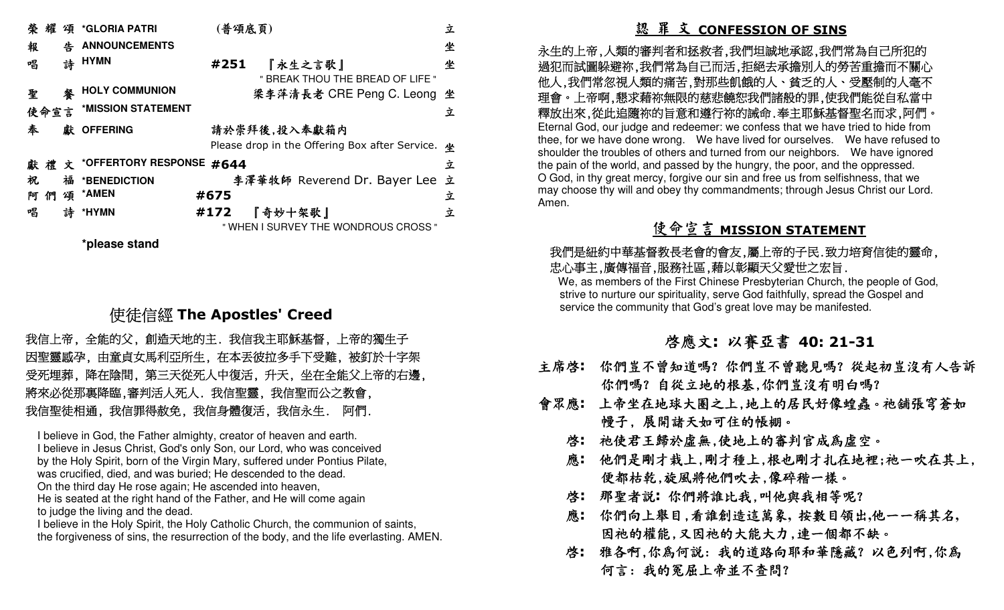| 榮耀<br><b>*GLORIA PATRI</b><br>頌                                                                                                                                 | (普頌底頁)                                                                                                                                                                                                                                                                                                                                                                                                                                                                             | 立                |                                                                                                                                                                                                                                                                                                                                                                                                                                                                               |  |
|-----------------------------------------------------------------------------------------------------------------------------------------------------------------|------------------------------------------------------------------------------------------------------------------------------------------------------------------------------------------------------------------------------------------------------------------------------------------------------------------------------------------------------------------------------------------------------------------------------------------------------------------------------------|------------------|-------------------------------------------------------------------------------------------------------------------------------------------------------------------------------------------------------------------------------------------------------------------------------------------------------------------------------------------------------------------------------------------------------------------------------------------------------------------------------|--|
| <b>ANNOUNCEMENTS</b><br>報<br>告<br>詩 HYMN<br>唱                                                                                                                   | #251<br>『永生之言歌』                                                                                                                                                                                                                                                                                                                                                                                                                                                                    | 坐<br>坐           | 永生的上帝,人類的審判者和拯救者,我們坦誠地承認,我們<br>過犯而試圖躲避祢,我們常為自己而活,拒絕去承擔別人的勞                                                                                                                                                                                                                                                                                                                                                                                                                    |  |
| <b>HOLY COMMUNION</b>                                                                                                                                           | " BREAK THOU THE BREAD OF LIFE "                                                                                                                                                                                                                                                                                                                                                                                                                                                   |                  | 他人,我們常忽視人類的痛苦,對那些飢餓的人、貧乏的人、                                                                                                                                                                                                                                                                                                                                                                                                                                                   |  |
| 聖<br>*MISSION STATEMENT                                                                                                                                         | 梁李萍清長老 CRE Peng C. Leong 坐                                                                                                                                                                                                                                                                                                                                                                                                                                                         |                  | 理會。上帝啊,懇求藉祢無限的慈悲饒恕我們諸般的罪,使我                                                                                                                                                                                                                                                                                                                                                                                                                                                   |  |
| 使命宣言<br>獻 OFFERING<br>奉<br>*OFFERTORY RESPONSE #644<br>獻禮文<br>祝<br>福<br>*BENEDICTION<br>*AMEN<br>頌<br>阿們<br>詩<br>唱<br>*HYMN                                     | 請於崇拜後,投入奉獻箱内<br>Please drop in the Offering Box after Service. 坐<br>李澤華牧師 Reverend Dr. Bayer Lee 立<br>#675<br>#172<br>『奇妙十架歌』<br>" WHEN I SURVEY THE WONDROUS CROSS "                                                                                                                                                                                                                                                                                                              | 立<br>立<br>立<br>立 | 釋放出來,從此追隨祢的旨意和遵行祢的誡命.奉主耶穌基督<br>Eternal God, our judge and redeemer: we confess that we have<br>thee, for we have done wrong. We have lived for ourselves.<br>shoulder the troubles of others and turned from our neighbors.<br>the pain of the world, and passed by the hungry, the poor, and t<br>O God, in thy great mercy, forgive our sin and free us from selfis<br>may choose thy will and obey thy commandments; through Jesu<br>Amen.<br><u> 使命宣言 MISSION STATEME</u> |  |
| *please stand                                                                                                                                                   | 使徒信經 The Apostles' Creed                                                                                                                                                                                                                                                                                                                                                                                                                                                           |                  | 我們是紐約中華基督教長老會的會友,屬上帝的子民.致力<br>忠心事主,廣傳福音,服務社區,藉以彰顯天父愛世之宏旨。<br>We, as members of the First Chinese Presbyterian Church,<br>strive to nurture our spirituality, serve God faithfully, spread<br>service the community that God's great love may be manife                                                                                                                                                                                                                        |  |
|                                                                                                                                                                 |                                                                                                                                                                                                                                                                                                                                                                                                                                                                                    |                  |                                                                                                                                                                                                                                                                                                                                                                                                                                                                               |  |
|                                                                                                                                                                 | 我信上帝, 全能的父, 創造天地的主. 我信我主耶穌基督, 上帝的獨生子<br>因聖靈感孕,由童貞女馬利亞所生,在本丟彼拉多手下受難,被釘於十字架<br>受死埋葬,降在陰間,第三天從死人中復活,升天,坐在全能父上帝的右邊,<br>將來必從那裏降臨,審判活人死人. 我信聖靈, 我信聖而公之教會,<br>我信聖徒相通, 我信罪得赦免, 我信身體復活, 我信永生. 阿們.                                                                                                                                                                                                                                                                                           |                  | 啓應文:以賽亞書 40:21<br>主席啓: 你們豈不曾知道嗎?你們豈不曾聽見嗎?<br>你們嗎? 自從立地的根基,你們豈沒有明<br>上帝坐在地球大圈之上,地上的居民好像:<br>會眾應:                                                                                                                                                                                                                                                                                                                                                                               |  |
| was crucified, died, and was buried; He descended to the dead.<br>On the third day He rose again; He ascended into heaven,<br>to judge the living and the dead. | I believe in God, the Father almighty, creator of heaven and earth.<br>I believe in Jesus Christ, God's only Son, our Lord, who was conceived<br>by the Holy Spirit, born of the Virgin Mary, suffered under Pontius Pilate,<br>He is seated at the right hand of the Father, and He will come again<br>I believe in the Holy Spirit, the Holy Catholic Church, the communion of saints,<br>the forgiveness of sins, the resurrection of the body, and the life everlasting. AMEN. |                  | 慢子,展開諸天如可住的帳棚。<br>祂使君王歸於虛無,使地上的審判官成為<br>啓:<br>應: 他們是剛才栽上,剛才種上,根也剛才扎在<br>便都枯乾,旋風將他們吹去,像碎稭一樣。<br>那聖者説: 你們將誰比我,叫他與我相等!<br>啓:<br>應: 你們向上舉目,看誰創造這萬象, 按數目今<br>因祂的權能,又因祂的大能大力,連一個者<br>啓:雅各啊,你為何說:我的道路向耶和華隱;<br>何言: 我的冤屈上帝並不查問?                                                                                                                                                                                                                                                       |  |

# 使徒信經 **The Apostles' Creed**

 永生的上帝,人類的審判者和拯救者,我們坦誠地承認,我們常為自己所犯的 過犯而試圖躲避祢,我們常為自己而活,拒絕去承擔別人的勞苦重擔而不關心 他人,我們常忽視人類的痛苦,對那些飢餓的人、貧乏的人、受壓制的人毫不 理會。上帝啊,懇求藉祢無限的慈悲饒恕我們諸般的罪,使我們能從自私當中 釋放出來,從此追隨祢的旨意和遵行祢的誡命.奉主耶穌基督聖名而求,阿們。 Eternal God, our judge and redeemer: we confess that we have tried to hide from thee, for we have done wrong. We have lived for ourselves. We have refused to shoulder the troubles of others and turned from our neighbors. We have ignored the pain of the world, and passed by the hungry, the poor, and the oppressed. O God, in thy great mercy, forgive our sin and free us from selfishness, that we may choose thy will and obey thy commandments; through Jesus Christ our Lord. Amen.

# 使命宣言 **MISSION STATEMENT**<br>"<sup>那目光会地会力</sup> 景点<sup>的不同 第十的3</sup>

## 我們是紐約中華基督教長老會的會友,屬上帝的子民.致力培育信徒的靈命, 忠心事主,廣傳福音,服務社區,藉以彰顯天父愛世之宏旨.

 We, as members of the First Chinese Presbyterian Church, the people of God, strive to nurture our spirituality, serve God faithfully, spread the Gospel and service the community that God's great love may be manifested.

# 啟應文**:** 以賽亞書 **40: 21-31**

- 主席啟**:** 你們豈不曾知道嗎?你們豈不曾聽見嗎?從起初豈沒有人告訴你們嗎? 自從立地的根基,你們豈沒有明白嗎?
- 會眾應**:** 上帝坐在地球大圈之上,地上的居民好像蝗蟲。祂舖張穹蒼如 幔子, 展開諸天如可住的帳棚。
	- 啟**:** 祂使君王歸於虛無,使地上的審判官成為虛空。
- 應**:** 他們是剛才栽上,剛才種上,根也剛才扎在地裡;祂一吹在其上, 便都枯乾,旋風將他們吹去,像碎稭一樣。
	- 啟**:** 那聖者說**:** 你們將誰比我,叫他與我相等呢?
	- 應**:** 你們向上舉目,看誰創造這萬象**,** 按數目領出**,**他一一稱其名**,** 因祂的權能,又因祂的大能大力,連一個都不缺。
- 啟**:** 雅各啊,你為何說: 我的道路向耶和華隱藏? 以色列啊,你為 何言: 我的冤屈上帝並不查問?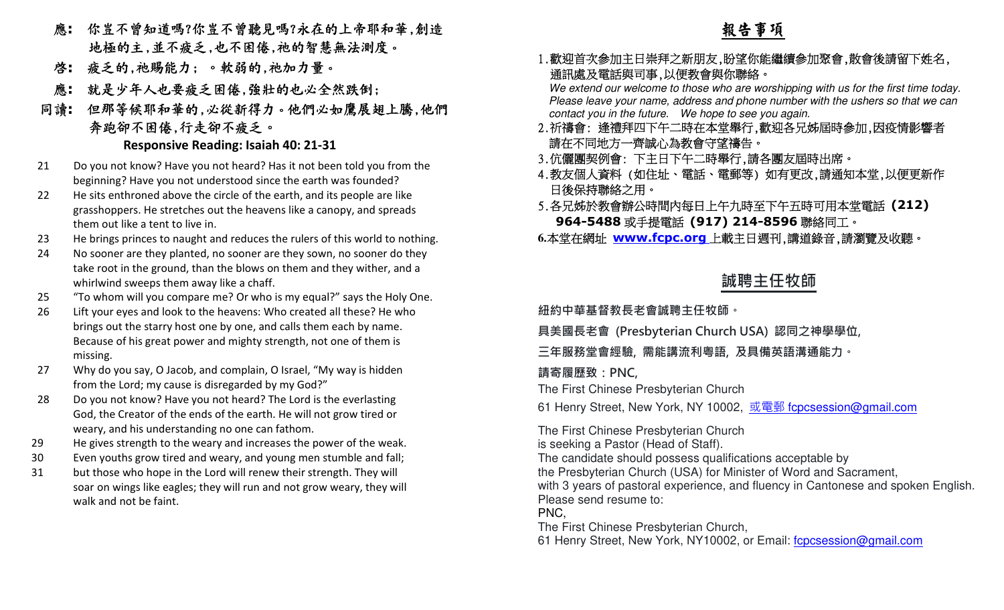- 應**:** 你豈不曾知道嗎?你豈不曾聽見嗎?永在的上帝耶和華,創造 地極的主,並不疲乏,也不困倦,祂的智慧無法測度。
	- 啟**:** 疲乏的,祂賜能力; 。軟弱的,祂加力量。
	- 應**:** 就是少年人也要疲乏困倦,強壯的也必全然跌倒;
	- 同讀**:** 但那等候耶和華的,必從新得力。他們必如鷹展翅上騰,他們 奔跑卻不困倦,行走卻不疲乏。

## **Responsive Reading: Isaiah 40: 21-31**

- 21 Do you not know? Have you not heard? Has it not been told you from the beginning? Have you not understood since the earth was founded?
- 22 He sits enthroned above the circle of the earth, and its people are like grasshoppers. He stretches out the heavens like a canopy, and spreads them out like a tent to live in.
- 23 He brings princes to naught and reduces the rulers of this world to nothing.
- 24 No sooner are they planted, no sooner are they sown, no sooner do they take root in the ground, than the blows on them and they wither, and a whirlwind sweeps them away like a chaff.
- 25 "To whom will you compare me? Or who is my equal?" says the Holy One.
- 26 Lift your eyes and look to the heavens: Who created all these? He who brings out the starry host one by one, and calls them each by name. Because of his great power and mighty strength, not one of them is missing.
- 27 Why do you say, O Jacob, and complain, O Israel, "My way is hidden from the Lord; my cause is disregarded by my God?"
- 28 Do you not know? Have you not heard? The Lord is the everlasting God, the Creator of the ends of the earth. He will not grow tired or weary, and his understanding no one can fathom.
- 29 He gives strength to the weary and increases the power of the weak.
- 30 Even youths grow tired and weary, and young men stumble and fall;
- 31 but those who hope in the Lord will renew their strength. They will soar on wings like eagles; they will run and not grow weary, they will walk and not be faint.

# 報告事項

## 1.歡迎首次參加主日崇拜之新朋友,盼望你能繼續參加聚會,散會後請留下姓名, 通訊處及電話與司事,以便教會與你聯絡。

 We extend our welcome to those who are worshipping with us for the first time today. Please leave your name, address and phone number with the ushers so that we can contact you in the future. We hope to see you again.

- 2.祈禱會: 逢禮拜四下午二時在本堂舉行,歡迎各兄姊屆時參加,因疫情影響者請在不同地方一齊誠心為教會守望禱告。
- 3.伉儷團契例會: 下主日下午二時舉行,請各團友屆時出席。
- 4.教友個人資料 (如住址、電話、電郵等) 如有更改,請通知本堂,以便更新作 日後保持聯絡之用。
- 5.各兄姊於教會辦公時間內每日上午九時至下午五時可用本堂電話 **(212) 964-5488**或手提電話 **(917) 214-8596**聯絡同工。
- **6.**本堂在網址 **www.fcpc.org** 上載主日週刊,講道錄音,請瀏覽及收聽。

## **誠聘主任牧師**

**紐約中華基督教⻑老會誠聘主任牧師。** 

**具美國⻑老會 (Presbyterian Church USA) 認同之神學學位,** 

**三年服務堂會經驗, 需能講流利粵語, 及具備英語溝通能力。** 

**請寄履歷致:PNC,**

The First Chinese Presbyterian Church

61 Henry Street, New York, NY 10002, <u>或電郵 f<mark>cpcsession@gmail.com</mark></u>

The First Chinese Presbyterian Church is seeking a Pastor (Head of Staff). The candidate should possess qualifications acceptable by the Presbyterian Church (USA) for Minister of Word and Sacrament, with 3 years of pastoral experience, and fluency in Cantonese and spoken English.Please send resume to: PNC, The First Chinese Presbyterian Church,

61 Henry Street, New York, NY10002, or Email: fcpcsession@gmail.com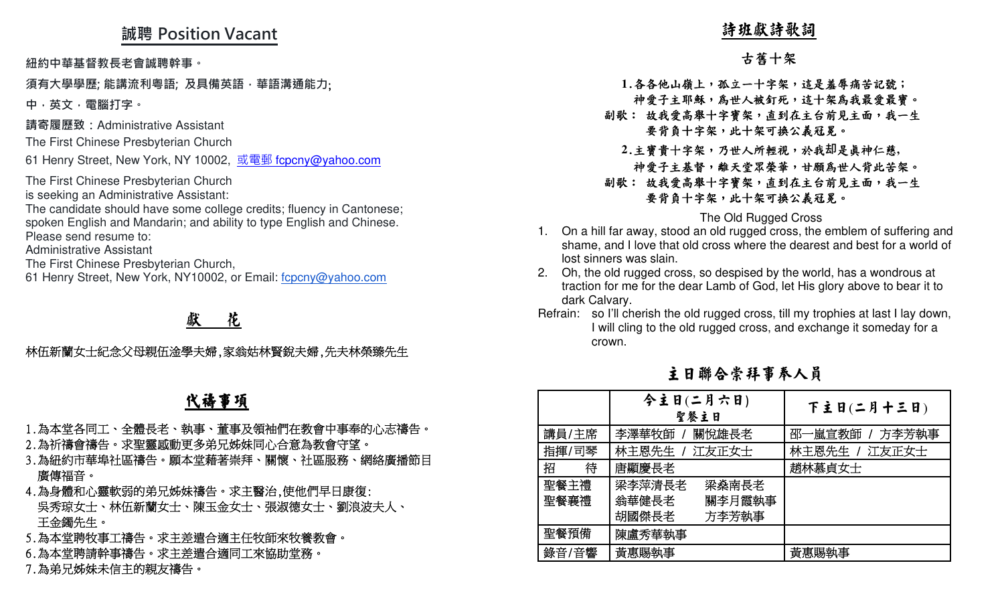## **誠聘 Position Vacant**

## **須有大學學歷; 能講流利粵語; 及具備英語,華語溝通能力**;

### 獻<sup>花</sup>

# 代禱事項

- 
- 
- 
- 
- 
- 

- -

- 
- 
- 

| 誠聘 Position Vacant                                                                                                                                                                                                                                                                                                                                                                                                                                                                                                                                                                                      | 詩班獻詩歌詞                                                                                                                                                                                                                                                                                                                                                                                                                                                                                                                                                                                                                                                                                                                                                                             |  |  |  |
|---------------------------------------------------------------------------------------------------------------------------------------------------------------------------------------------------------------------------------------------------------------------------------------------------------------------------------------------------------------------------------------------------------------------------------------------------------------------------------------------------------------------------------------------------------------------------------------------------------|------------------------------------------------------------------------------------------------------------------------------------------------------------------------------------------------------------------------------------------------------------------------------------------------------------------------------------------------------------------------------------------------------------------------------------------------------------------------------------------------------------------------------------------------------------------------------------------------------------------------------------------------------------------------------------------------------------------------------------------------------------------------------------|--|--|--|
| 紐約中華基督教長老會誠聘幹事。                                                                                                                                                                                                                                                                                                                                                                                                                                                                                                                                                                                         | 古舊十架                                                                                                                                                                                                                                                                                                                                                                                                                                                                                                                                                                                                                                                                                                                                                                               |  |  |  |
| 須有大學學歷; 能講流利粵語; 及具備英語,華語溝通能力;<br>中,英文,電腦打字。<br>請寄履歷致:Administrative Assistant<br>The First Chinese Presbyterian Church<br>61 Henry Street, New York, NY 10002, 或電郵 fcpcny@yahoo.com<br>The First Chinese Presbyterian Church<br>is seeking an Administrative Assistant:<br>The candidate should have some college credits; fluency in Cantonese;<br>spoken English and Mandarin; and ability to type English and Chinese.<br>Please send resume to:<br><b>Administrative Assistant</b><br>The First Chinese Presbyterian Church,<br>61 Henry Street, New York, NY10002, or Email: fcpcny@yahoo.com<br>花 | 1.各各他山嶺上,孤立一十字架,這是羞辱痛苦記號;<br>神愛子主耶穌,為世人被釘死,這十架為我最愛最寶。<br>副歌: 故我愛高舉十字寶架,直到在主台前見主面,我一生<br>要背負十字架,此十架可換公義冠冕。<br>2.主寶貴十字架,乃世人所輕視,於我却是真神仁慈,<br>神愛子主基督,離天堂眾榮華,甘願為世人背此苦架。<br>副歌: 故我愛高舉十字寶架,直到在主台前見主面,我一生<br>要背負十字架,此十架可換公義冠冕。<br>The Old Rugged Cross<br>1. On a hill far away, stood an old rugged cross, the emblem of suffering and<br>shame, and I love that old cross where the dearest and best for a world of<br>lost sinners was slain.<br>2. Oh, the old rugged cross, so despised by the world, has a wondrous at<br>traction for me for the dear Lamb of God, let His glory above to bear it to<br>dark Calvary.<br>Refrain: so I'll cherish the old rugged cross, till my trophies at last I lay down,<br>I will cling to the old rugged cross, and exchange it someday for a |  |  |  |
| 林伍新蘭女士紀念父母親伍淦學夫婦,家翁姑林賢銳夫婦,先夫林榮臻先生                                                                                                                                                                                                                                                                                                                                                                                                                                                                                                                                                                       | crown.<br>主日聯合崇拜事奉人員                                                                                                                                                                                                                                                                                                                                                                                                                                                                                                                                                                                                                                                                                                                                                               |  |  |  |
| 代禱事項                                                                                                                                                                                                                                                                                                                                                                                                                                                                                                                                                                                                    | 今主日(二月六日)<br>下主日(二月十三日)<br>聖餐主日                                                                                                                                                                                                                                                                                                                                                                                                                                                                                                                                                                                                                                                                                                                                                    |  |  |  |
| 1.為本堂各同工、全體長老、執事、董事及領袖們在教會中事奉的心志禱告。<br>2.為祈禱會禱告。求聖靈感動更多弟兄姊妹同心合意為教會守望。<br>3.為紐約市華埠社區禱告。願本堂藉著崇拜、關懷、社區服務、網絡廣播節目<br>廣傳福音。<br>4.為身體和心靈軟弱的弟兄姊妹禱告。求主醫治,使他們早日康復:<br>吳秀琼女士、林伍新蘭女士、陳玉金女士、張淑德女士、劉浪波夫人、<br>王金鐲先生。<br>5.為本堂聘牧事工禱告。求主差遣合適主任牧師來牧養教會。<br>6.為本堂聘請幹事禱告。求主差遣合適同工來協助堂務。                                                                                                                                                                                                                                                                                                                                     | 講員/主席<br>李澤華牧師<br>關悅雄長老<br>邵一嵐宣教師 / 方李芳執事<br>指揮/司琴<br>林主恩先生 / 江友正女士<br>林主恩先生 / 江友正女士<br>招<br>符<br>唐顯慶長老<br>趙林慕貞女士<br>聖餐主禮<br>梁李萍清長老<br>梁燊南長老<br>聖餐襄禮<br>翁華健長老<br>關李月霞執事<br>胡國傑長老<br>方李芳執事<br>聖餐預備<br>陳盧秀華執事<br>黃惠賜執事<br>黃惠賜執事<br>錄音/音響                                                                                                                                                                                                                                                                                                                                                                                                                                                                                                                                             |  |  |  |
| 7.為弟兄姊妹未信主的親友禱告。                                                                                                                                                                                                                                                                                                                                                                                                                                                                                                                                                                                        |                                                                                                                                                                                                                                                                                                                                                                                                                                                                                                                                                                                                                                                                                                                                                                                    |  |  |  |